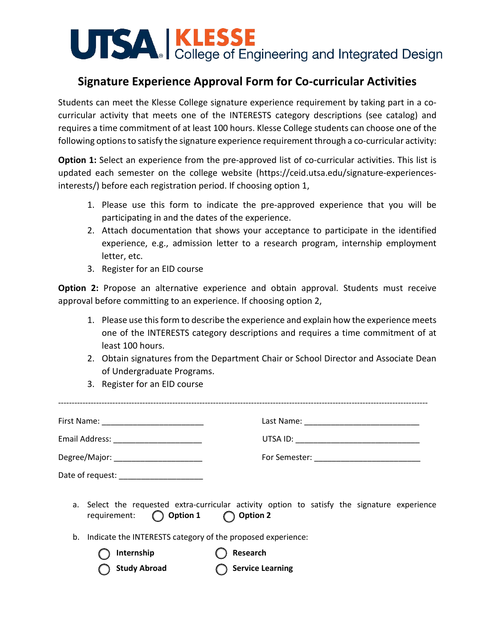## UTSA KLESSE<br>College of Engineering and Integrated Design

## **Signature Experience Approval Form for Co-curricular Activities**

Students can meet the Klesse College signature experience requirement by taking part in a cocurricular activity that meets one of the INTERESTS category descriptions (see catalog) and requires a time commitment of at least 100 hours. Klesse College students can choose one of the following options to satisfy the signature experience requirement through a co-curricular activity:

**Option 1:** Select an experience from the pre-approved list of co-curricular activities. This list is updated each semester on the college website (https://ceid.utsa.edu/signature-experiencesinterests/) before each registration period. If choosing option 1,

- 1. Please use this form to indicate the pre-approved experience that you will be participating in and the dates of the experience.
- 2. Attach documentation that shows your acceptance to participate in the identified experience, e.g., admission letter to a research program, internship employment letter, etc.
- 3. Register for an EID course

**Option 2:** Propose an alternative experience and obtain approval. Students must receive approval before committing to an experience. If choosing option 2,

- 1. Please use this form to describe the experience and explain how the experience meets one of the INTERESTS category descriptions and requires a time commitment of at least 100 hours.
- 2. Obtain signatures from the Department Chair or School Director and Associate Dean of Undergraduate Programs.
- 3. Register for an EID course

| Email Address: __________________________         |                                                                                              |
|---------------------------------------------------|----------------------------------------------------------------------------------------------|
| Degree/Major: _______________________             | For Semester: ______________________________                                                 |
| Date of request: ______________________           |                                                                                              |
| $\bigcirc$ Option 1<br>requirement:<br>◯ Option 2 | a. Select the requested extra-curricular activity option to satisfy the signature experience |

b. Indicate the INTERESTS category of the proposed experience:

**Internship C** Research

**Study Abroad Conservation** Service Learning